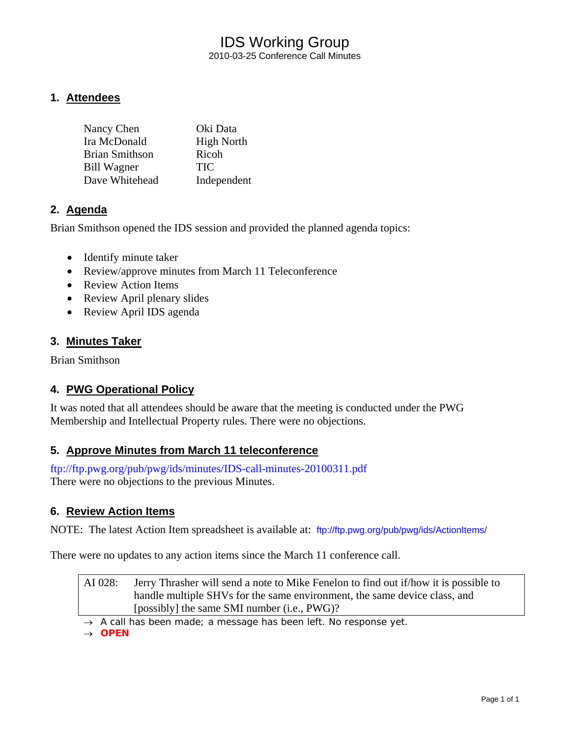### IDS Working Group 2010-03-25 Conference Call Minutes

### **1. Attendees**

| Nancy Chen            | Oki Data          |
|-----------------------|-------------------|
| Ira McDonald          | <b>High North</b> |
| <b>Brian Smithson</b> | Ricoh             |
| <b>Bill Wagner</b>    | <b>TIC</b>        |
| Dave Whitehead        | Independent       |

### **2. Agenda**

Brian Smithson opened the IDS session and provided the planned agenda topics:

- Identify minute taker
- Review/approve minutes from March 11 Teleconference
- Review Action Items
- Review April plenary slides
- Review April IDS agenda

### **3. Minutes Taker**

Brian Smithson

### **4. PWG Operational Policy**

It was noted that all attendees should be aware that the meeting is conducted under the PWG Membership and Intellectual Property rules. There were no objections.

### **5. Approve Minutes from March 11 teleconference**

<ftp://ftp.pwg.org/pub/pwg/ids/minutes/IDS-call-minutes-20100311.pdf> There were no objections to the previous Minutes.

### **6. Review Action Items**

NOTE: The latest Action Item spreadsheet is available at: <ftp://ftp.pwg.org/pub/pwg/ids/ActionItems/>

There were no updates to any action items since the March 11 conference call.

AI 028: Jerry Thrasher will send a note to Mike Fenelon to find out if/how it is possible to handle multiple SHVs for the same environment, the same device class, and [possibly] the same SMI number (i.e., PWG)?

→ *A call has been made; a message has been left. No response yet.* 

→ *OPEN*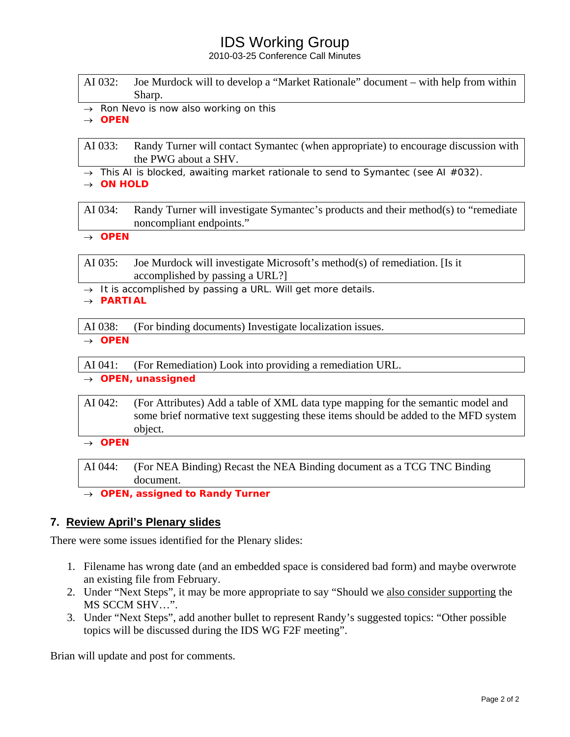# IDS Working Group

2010-03-25 Conference Call Minutes

| AI 032: Joe Murdock will to develop a "Market Rationale" document – with help from within |
|-------------------------------------------------------------------------------------------|
| Sharp.                                                                                    |

→ *Ron Nevo is now also working on this*

→ *OPEN* 

AI 033: Randy Turner will contact Symantec (when appropriate) to encourage discussion with the PWG about a SHV.

→ *This AI is blocked, awaiting market rationale to send to Symantec (see AI #032).*

→ *ON HOLD* 

AI 034: Randy Turner will investigate Symantec's products and their method(s) to "remediate noncompliant endpoints."

→ *OPEN* 

AI 035: Joe Murdock will investigate Microsoft's method(s) of remediation. [Is it accomplished by passing a URL?]

→ *It is accomplished by passing a URL. Will get more details.*

→ *PARTIAL* 

AI 038: (For binding documents) Investigate localization issues.

→ *OPEN* 

AI 041: (For Remediation) Look into providing a remediation URL.

→ *OPEN, unassigned* 

AI 042: (For Attributes) Add a table of XML data type mapping for the semantic model and some brief normative text suggesting these items should be added to the MFD system object.

→ *OPEN* 

AI 044: (For NEA Binding) Recast the NEA Binding document as a TCG TNC Binding document.

→ *OPEN, assigned to Randy Turner* 

### **7. Review April's Plenary slides**

There were some issues identified for the Plenary slides:

- 1. Filename has wrong date (and an embedded space is considered bad form) and maybe overwrote an existing file from February.
- 2. Under "Next Steps", it may be more appropriate to say "Should we also consider supporting the MS SCCM SHV…".
- 3. Under "Next Steps", add another bullet to represent Randy's suggested topics: "Other possible topics will be discussed during the IDS WG F2F meeting".

Brian will update and post for comments.